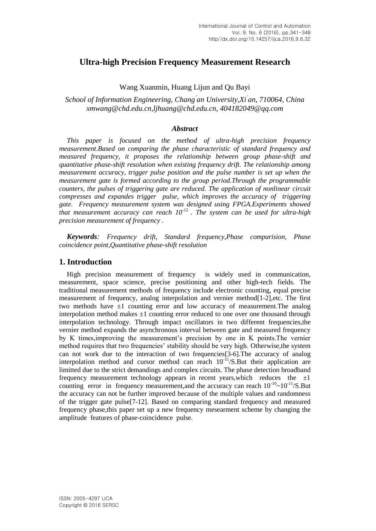# **Ultra-high Precision Frequency Measurement Research**

Wang Xuanmin, Huang Lijun and Qu Bayi

*School of Information Engineering, Chang' an University,Xi' an, 710064, China xmwang@chd.edu.cn,ljhuang@chd.edu.cn, 404182049@qq.com*

### *Abstract*

*This paper is focused on the method of ultra-high precision frequency measurement.Based on comparing the phase characteristic of standard frequency and measured frequency, it proposes the relationship between group phase-shift and quantitative phase-shift resolution when existing frequency drift. The relationship among measurement accuracy, trigger pulse position and the pulse number is set up when the measurement gate is formed according to the group period.Through the programmable counters, the pulses of triggering gate are reduced. The application of nonlinear circuit compresses and expandes trigger pulse, which improves the accuracy of triggering gate. Frequency measurement system was designed using FPGA.Experiments showed that measurement accuracy can reach 10-12 . The system can be used for ultra-high precision measurement of frequency .*

*Keywords: Frequency drift, Standard frequency,Phase comparision, Phase coincidence point,Quantitative phase-shift resolution*

### **1. Introduction**

High precision measurement of frequency is widely used in communication, measurement, space science, precise positioning and other high-tech fields. The traditional measurement methods of frequency include electronic counting, equal precise measurement of frequency, analog interpolation and vernier method[1-2],etc. The first two methods have  $\pm 1$  counting error and low accuracy of measurement. The analog interpolation method makes  $\pm 1$  counting error reduced to one over one thousand through interpolation technology. Through impact oscillators in two different frequencies,the vernier method expands the asynchronous interval between gate and measured frequency by K times,improving the measurement's precision by one in K points.The vernier method requires that two frequencies' stability should be very high. Otherwise,the system can not work due to the interaction of two frequencies[3-6].The accuracy of analog interpolation method and cursor method can reach  $10^{-1}/S$ . But their application are limitted due to the strict demandings and complex circuits. The phase detection broadband frequency measurement technology appears in recent years, which reduces the  $\pm 1$ counting error in frequency measurement, and the accuracy can reach  $10^{-10} \sim 10^{-11}$ /S. But the accuracy can not be further improved because of the multiple values and randomness of the trigger gate pulse[7-12]. Based on comparing standard frequency and measured frequency phase,this paper set up a new frequency mesearment scheme by changing the amplitude features of phase-coincidence pulse.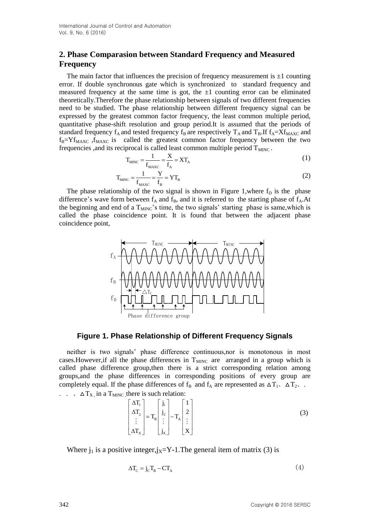# **2. Phase Comparasion between Standard Frequency and Measured Frequency**

The main factor that influences the precision of frequency measurement is  $\pm 1$  counting error. If double synchronous gate which is synchronized to standard frequency and measured frequency at the same time is got, the  $\pm 1$  counting error can be eliminated theoretically.Therefore the phase relationship between signals of two different frequencies need to be studied. The phase relationship between different frequency signal can be expressed by the greatest common factor frequency, the least common multiple period, quantitative phase-shift resolution and group period.It is assumed that the periods of standard frequency  $f_A$  and tested frequency  $f_B$  are respectively  $T_A$  and  $T_B$ . If  $f_A = Xf_{\text{MAXC}}$  and  $f_B = Yf_{MAXC}$ ,  $f_{MAXC}$  is called the greatest common factor frequency between the two frequencies ,and its reciprocal is called least common multiple period  $T_{\text{MINC}}$ .<br>  $T_{\text{MINC}} = \frac{1}{f} = \frac{X}{f} = XT_A$ 

$$
T_{\text{MINC}} = \frac{1}{f_{\text{MASC}}} = \frac{X}{f_{\text{A}}} = XT_{\text{A}}
$$
 (1)

$$
T_{\text{MINC}} = \frac{1}{f_{\text{MAXC}}} = \frac{Y}{f_{\text{B}}} = YT_{\text{B}}
$$
 (2)

The [phase](app:ds:phase) relationship of the two signal is shown in Figure 1, where  $f<sub>D</sub>$  is the phase [difference'](app:ds:difference)s wave form between  $f_A$  and  $f_B$ , and it is referred to the starting phase of  $f_A$ .At the beginning and end of a  $T<sub>MINC</sub>$ 's time, the two signals' starting phase is same, which is called the phase coincidence point. It is found that between the adjacent phase coincidence point,



#### **Figure 1. Phase Relationship of Different Frequency Signals**

neither is two signals' phase difference continuous,nor is monotonous in most cases. However, if all the phase differences in  $T_{\text{MINC}}$  are arranged in a group which is called phase difference group,then there is a strict corresponding relation among groups,and the phase differences in corresponding positions of every group are completely equal. If the phase differences of  $f_B$  and  $f_A$  are represented as  $\Delta T_1$ ,  $\Delta T_2$ , .  $\therefore$   $\Delta T_{X}$ , in a T<sub>MINC</sub>, there is such relation:

$$
\begin{bmatrix}\n\Delta T_1 \\
\Delta T_2 \\
\vdots \\
\Delta T_x\n\end{bmatrix} = T_B \begin{bmatrix}\n\mathbf{j}_1 \\
\mathbf{j}_2 \\
\vdots \\
\mathbf{j}_x\n\end{bmatrix} - T_A \begin{bmatrix}\n1 \\
2 \\
\vdots \\
X\n\end{bmatrix}
$$
\n(3)

Where  $j_1$  is a positive integer,  $j_X = Y-1$ . The general item of matrix (3) is

$$
\Delta T_{\rm C} = j_{\rm C} T_{\rm B} - C T_{\rm A} \tag{4}
$$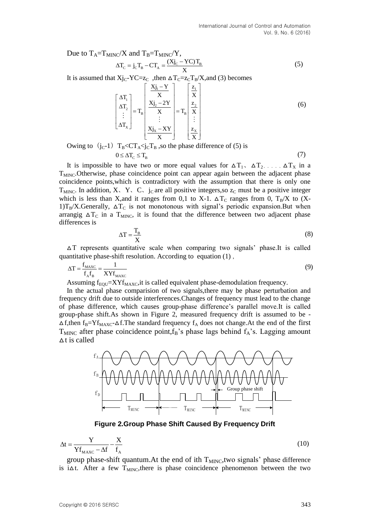Due to  $T_A=T_{MINC}/X$  and  $T_B=T_{MINC}/Y$ , Due to  $T_A = T_{MINC}/X$  and  $T_B = T_{MINC}/Y$ ,<br> $\Delta T_C = j_C T_B - CT_A = \frac{(Xj_C - YC)T_B}{X}$  $\Delta T_{\rm c} = j_{\rm c} T_{\rm B} - C T_{\rm A} = \frac{(Xj_{\rm c} - YC)T_{\rm B}}{V}$  (5)

It is assumed that  $Xj_C-YC=z_C$ , then  $\Delta T_C=z_CT_B/X$ , and (3) becomes  $\begin{bmatrix} Xj_1-Y \end{bmatrix}$   $\begin{bmatrix} z_1 \end{bmatrix}$ 

$$
\begin{bmatrix}\n\Delta \mathbf{T}_1 \\
\Delta \mathbf{T}_2 \\
\vdots \\
\Delta \mathbf{T}_x\n\end{bmatrix} = \mathbf{T}_B \begin{bmatrix}\n\frac{\mathbf{X} \mathbf{j}_1 - \mathbf{Y}}{\mathbf{X}} \\
\frac{\mathbf{X} \mathbf{j}_2 - 2 \mathbf{Y}}{\mathbf{X}} \\
\vdots \\
\frac{\mathbf{X} \mathbf{j}_x - \mathbf{X} \mathbf{Y}}{\mathbf{X}}\n\end{bmatrix} = \mathbf{T}_B \begin{bmatrix}\n\frac{\mathbf{z}_1}{\mathbf{X}} \\
\frac{\mathbf{z}_2}{\mathbf{X}} \\
\vdots \\
\frac{\mathbf{z}_x}{\mathbf{X}}\n\end{bmatrix}
$$
\n(6)

Owing to  $(j_C-1)$  T<sub>B</sub><CT<sub>A</sub><j<sub>C</sub>T<sub>B</sub> ,so the phase difference of (5) is  $0 \leq \Delta T_{\rm c} \leq T_{\rm B}$  (7)

It is impossible to have two or more equal values for  $\Delta T_1$ ,  $\Delta T_2$ ,  $\ldots$ ,  $\Delta T_X$  in a  $T<sub>MINC</sub>$ . Otherwise, phase coincidence point can appear again between the adjacent phase coincidence points,which is contradictory with the assumption that there is only one  $T<sub>MINC</sub>$ . In addition, X, Y, C,  $C<sub>c</sub>$  are all positive integers, so  $z<sub>C</sub>$  must be a positive integer which is less than X,and it ranges from 0,1 to X-1.  $\Delta T_C$  ranges from 0, T<sub>B</sub>/X to (X-1)T<sub>B</sub>/X.Generally,  $\Delta T_C$  is not monotonous with signal's periodic expansion.But when arrangig  $\Delta T_c$  in a T<sub>MINC</sub>, it is found that the difference between two adjacent phase

$$
\Delta T = \frac{T_{\rm B}}{X} \tag{8}
$$

 $\Delta T$  represents quantitative scale when comparing two signals' phase.It is called quantitative phase-shift resolution. According to equation (1) ,

$$
\Delta T = \frac{f_{\text{MAXC}}}{f_A f_B} = \frac{1}{XY f_{\text{MAXC}}}
$$
(9)

Assuming  $f_{\text{FOU}} = XYf_{\text{MAXC}}$ , it is called equivalent phase-demodulation frequency.

In the actual phase comparision of two signals,there may be phase perturbation and frequency drift due to outside interferences.Changes of frequency must lead to the change of phase difference, which causes group-phase difference's parallel move.It is called group-phase shift.As shown in Figure 2, measured frequency drift is assumed to be -  $\Delta f$ ,then  $f_B = Yf_{MAXC} - \Delta f$ . The standard frequency  $f_A$  does not change. At the end of the first  $T_{\text{MINC}}$  after phase coincidence point,  $f_B$ 's phase lags behind  $f_A$ 's. Lagging amount  $\Delta t$  is called



**Figure 2.Group Phase Shift Caused By Frequency Drift**

$$
\Delta t = \frac{Y}{Yf_{\text{MAXC}} - \Delta f} - \frac{X}{f_A}
$$
 (10)

group phase-shift quantum. At the end of ith  $T_{\text{MINC}}$ , two signals' phase difference is i $\Delta t$ . After a few T<sub>MINC</sub>, there is phase coincidence phenomenon between the two

differences is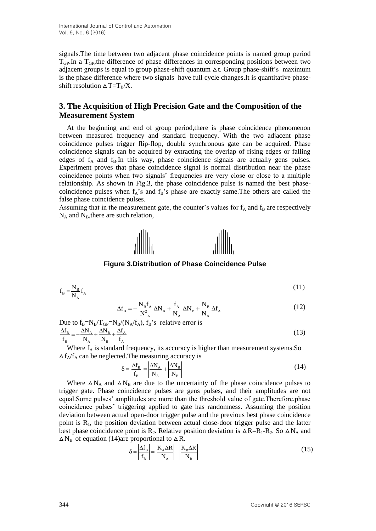signals.The time between two adjacent phase coincidence points is named group period  $T_{GP}$ . In a  $T_{GP}$ , the difference of phase differences in corresponding positions between two adjacent groups is equal to group phase-shift quantum  $\Delta t$ . Group phase-shift's maximum is the phase difference where two signals have full cycle changes.It is quantitative phaseshift resolution  $\Delta T = T_B/X$ .

# **3. The Acquisition of High Precision Gate and the Composition of the Measurement System**

At the beginning and end of group period,there is phase coincidence phenomenon between measured frequency and standard frequency. With the two adjacent phase coincidence pulses trigger flip-flop, double synchronous gate can be acquired. Phase coincidence signals can be acquired by extracting the overlap of rising edges or falling edges of  $f_A$  and  $f_B$ . In this way, phase coincidence signals are actually gens pulses. Experiment proves that phase coincidence signal is normal distribution near the phase coincidence points when two signals' frequencies are very close or close to a multiple relationship. As shown in Fig.3, the phase coincidence pulse is named the best phasecoincidence pulses when  $f_A$ 's and  $f_B$ 's phase are exactly same. The others are called the false phase coincidence pulses.

Assuming that in the measurement gate, the counter's values for  $f_A$  and  $f_B$  are respectively  $N_A$  and  $N_B$ , there are such relation,



**Figure 3.Distribution of Phase Coincidence Pulse**

$$
f_B = \frac{N_B}{N_A} f_A
$$
 (11)

$$
\Delta f_B = -\frac{N_B f_A}{N_A^2} \Delta N_A + \frac{f_A}{N_A} \Delta N_B + \frac{N_B}{N_A} \Delta f_A
$$
 (12)

Due to  $f_B=N_B/T_{GP}=N_B/(N_A/f_A)$ ,  $f_B$ 's relative error is  $\frac{B}{B} = -\frac{\Delta N_{A}}{\Delta + \frac{\Delta N_{B}}{\Delta + \frac{\Delta f_{A}}{\Delta + \Delta}}$  $N_A$   $N_B$   $f_A$  $f_B = -\frac{\Delta N_A}{N_A} + \frac{\Delta N_B}{N_B} + \frac{\Delta f}{N_B}$  $\frac{N_B}{f_B} = -\frac{N_A}{N_A} + \frac{N_B}{N_B} + \frac{N_B}{f}$  $\Delta f_B = -\frac{\Delta N_A}{N_A} + \frac{\Delta N_B}{N_B} + \frac{\Delta f_A}{r_A}$ (13)

Where  $f_A$  is standard frequency, its accuracy is higher than measurement systems. So  $\Delta f_A/f_A$  can be neglected. The measuring accuracy is

$$
\delta = \left| \frac{\Delta f_B}{f_B} \right| = \left| \frac{\Delta N_A}{N_A} \right| + \left| \frac{\Delta N_B}{N_B} \right| \tag{14}
$$

Where  $\Delta N_A$  and  $\Delta N_B$  are due to the uncertainty of the phase coincidence pulses to trigger gate. Phase coincidence pulses are gens pulses, and their amplitudes are not equal.Some pulses' amplitudes are more than the threshold value of gate.Therefore,phase coincidence pulses' triggering applied to gate has randomness. Assuming the position deviation between actual open-door trigger pulse and the previous best phase coincidence point is  $R_1$ , the position deviation between actual close-door trigger pulse and the latter best phase coincidence point is R<sub>2</sub>. Relative position deviation is  $\Delta R=R_1-R_2$ . So  $\Delta N_A$  and  $\Delta N_B$  of equation (14)are proportional to  $\Delta R$ .<br>  $\delta = \left| \frac{\Delta f_B}{f} \right| = \left| \frac{K_A \Delta R}{N} \right| + \left| \frac{K_B \Delta R}{N} \right|$ 

$$
\delta = \left| \frac{\Delta f_B}{f_B} \right| = \left| \frac{K_A \Delta R}{N_A} \right| + \left| \frac{K_B \Delta R}{N_B} \right| \tag{15}
$$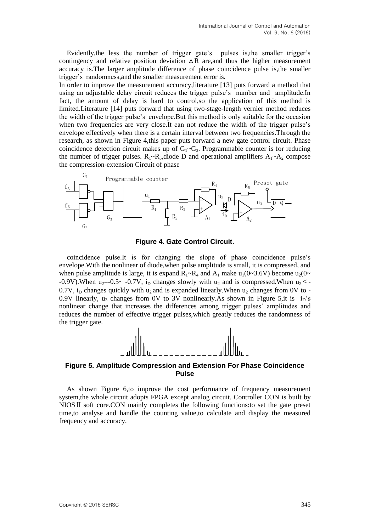Evidently,the less the number of trigger gate's pulses is,the smaller trigger's contingency and relative position deviation  $\Delta R$  are, and thus the higher measurement accuracy is.The larger amplitude difference of phase coincidence pulse is,the smaller trigger's randomness,and the smaller measurement error is.

In order to improve the measurement accuracy,literature [13] puts forward a method that using an adjustable delay circuit reduces the trigger pulse's number and amplitude.In fact, the amount of delay is hard to control,so the application of this method is limited.Literature [14] puts forward that using two-stage-length vernier method reduces the width of the trigger pulse's envelope.But this method is only suitable for the occasion when two frequencies are very close.It can not reduce the width of the trigger pulse's envelope effectively when there is a certain interval between two frequencies.Through the research, as shown in Figure 4,this paper puts forward a new gate control circuit. Phase coincidence detection circuit makes up of  $G_1 \sim G_3$ . Programmable counter is for reducing the number of trigger pulses.  $R_1 \sim R_5$ , diode D and operational amplifiers  $A_1 \sim A_2$  compose the compression-extension Circuit of phase



**Figure 4. Gate Control Circuit.**

coincidence pulse.It is for changing the slope of phase coincidence pulse's envelope.With the nonlinear of diode,when pulse amplitude is small, it is compressed, and when pulse amplitude is large, it is expand. $R_1 \sim R_4$  and  $A_1$  make  $u_1(0 \sim 3.6 V)$  become  $u_2(0 \sim$ -0.9V). When  $u_2$ =-0.5~ -0.7V, i<sub>D</sub> changes slowly with  $u_2$  and is compressed. When  $u_2$ <-0.7V, i<sub>D</sub> changes quickly with u<sub>2</sub> and is expanded linearly. When u<sub>2</sub> changes from 0V to -0.9V linearly,  $u_3$  changes from 0V to 3V nonlinearly. As shown in Figure 5, it is  $i_D$ 's nonlinear change that increases the differences among trigger pulses' amplitudes and reduces the number of effective trigger pulses,which greatly reduces the randomness of the trigger gate.



**Figure 5. Amplitude Compression and Extension For Phase Coincidence Pulse**

As shown Figure 6,to improve the cost performance of frequency measurement system,the whole circuit adopts FPGA except analog circuit. Controller CON is built by NIOS II soft core.CON mainly completes the following functions: to set the gate preset time,to analyse and handle the counting value,to calculate and display the measured frequency and accuracy.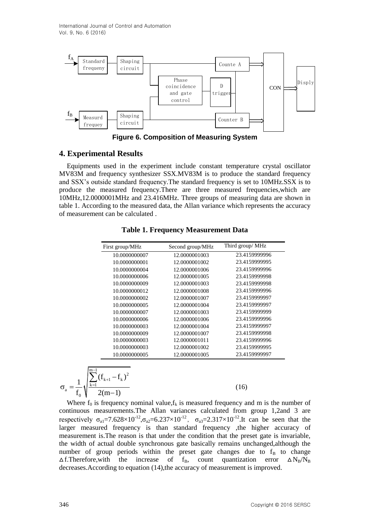International Journal of Control and Automation Vol. 9, No. 6 (2016)



**Figure 6. Composition of Measuring System**

## **4. Experimental Results**

|                                                                                                                                                                                                                                                                                                                                                                                                                                                                                                                                                                                                                                                                                                                                                                                                                                                                                                               | Phase<br>coincidence<br>and gate<br>control      | D<br><b>CON</b><br>trigger | Displ |
|---------------------------------------------------------------------------------------------------------------------------------------------------------------------------------------------------------------------------------------------------------------------------------------------------------------------------------------------------------------------------------------------------------------------------------------------------------------------------------------------------------------------------------------------------------------------------------------------------------------------------------------------------------------------------------------------------------------------------------------------------------------------------------------------------------------------------------------------------------------------------------------------------------------|--------------------------------------------------|----------------------------|-------|
| $f_B$<br>Shaping<br>Measurd<br>circuit<br>frequey                                                                                                                                                                                                                                                                                                                                                                                                                                                                                                                                                                                                                                                                                                                                                                                                                                                             |                                                  | Counter B                  |       |
|                                                                                                                                                                                                                                                                                                                                                                                                                                                                                                                                                                                                                                                                                                                                                                                                                                                                                                               | <b>Figure 6. Composition of Measuring System</b> |                            |       |
| <b>4. Experimental Results</b>                                                                                                                                                                                                                                                                                                                                                                                                                                                                                                                                                                                                                                                                                                                                                                                                                                                                                |                                                  |                            |       |
| Equipments used in the experiment include constant temperature crystal oscillator<br>MV83M and frequency synthesizer SSX.MV83M is to produce the standard frequency<br>and SSX's outside standard frequency. The standard frequency is set to 10MHz. SSX is to<br>produce the measured frequency. There are three measured frequencies, which are<br>10MHz,12.0000001MHz and 23.416MHz. Three groups of measuring data are shown in<br>table 1. According to the measured data, the Allan variance which represents the accuracy<br>of measurement can be calculated.                                                                                                                                                                                                                                                                                                                                         | <b>Table 1. Frequency Measurement Data</b>       |                            |       |
|                                                                                                                                                                                                                                                                                                                                                                                                                                                                                                                                                                                                                                                                                                                                                                                                                                                                                                               |                                                  | Third group/ MHz           |       |
| First group/MHz<br>10.0000000007                                                                                                                                                                                                                                                                                                                                                                                                                                                                                                                                                                                                                                                                                                                                                                                                                                                                              | Second group/MHz<br>12.0000001003                | 23.4159999996              |       |
| 10.0000000001                                                                                                                                                                                                                                                                                                                                                                                                                                                                                                                                                                                                                                                                                                                                                                                                                                                                                                 | 12.0000001002                                    | 23.4159999995              |       |
| 10.0000000004                                                                                                                                                                                                                                                                                                                                                                                                                                                                                                                                                                                                                                                                                                                                                                                                                                                                                                 | 12.0000001006                                    | 23.4159999996              |       |
| 10.0000000006                                                                                                                                                                                                                                                                                                                                                                                                                                                                                                                                                                                                                                                                                                                                                                                                                                                                                                 | 12.0000001005                                    | 23.4159999998              |       |
| 10.0000000009                                                                                                                                                                                                                                                                                                                                                                                                                                                                                                                                                                                                                                                                                                                                                                                                                                                                                                 | 12.0000001003                                    | 23.4159999998              |       |
| 10.0000000012                                                                                                                                                                                                                                                                                                                                                                                                                                                                                                                                                                                                                                                                                                                                                                                                                                                                                                 | 12.0000001008                                    | 23.4159999996              |       |
| 10.0000000002                                                                                                                                                                                                                                                                                                                                                                                                                                                                                                                                                                                                                                                                                                                                                                                                                                                                                                 | 12.0000001007                                    | 23.4159999997              |       |
| 10.0000000005                                                                                                                                                                                                                                                                                                                                                                                                                                                                                                                                                                                                                                                                                                                                                                                                                                                                                                 | 12.0000001004                                    | 23.4159999997              |       |
| 10.0000000007                                                                                                                                                                                                                                                                                                                                                                                                                                                                                                                                                                                                                                                                                                                                                                                                                                                                                                 | 12.0000001003                                    | 23.4159999999              |       |
| 10.0000000006                                                                                                                                                                                                                                                                                                                                                                                                                                                                                                                                                                                                                                                                                                                                                                                                                                                                                                 | 12.0000001006                                    | 23.4159999996              |       |
| 10.0000000003                                                                                                                                                                                                                                                                                                                                                                                                                                                                                                                                                                                                                                                                                                                                                                                                                                                                                                 | 12.0000001004                                    | 23.4159999997              |       |
| 10.0000000009                                                                                                                                                                                                                                                                                                                                                                                                                                                                                                                                                                                                                                                                                                                                                                                                                                                                                                 | 12.0000001007                                    | 23.4159999998              |       |
| 10.0000000003                                                                                                                                                                                                                                                                                                                                                                                                                                                                                                                                                                                                                                                                                                                                                                                                                                                                                                 | 12.0000001011                                    | 23.4159999996              |       |
| 10.0000000003                                                                                                                                                                                                                                                                                                                                                                                                                                                                                                                                                                                                                                                                                                                                                                                                                                                                                                 | 12.0000001002                                    | 23.4159999995              |       |
| 10.0000000005                                                                                                                                                                                                                                                                                                                                                                                                                                                                                                                                                                                                                                                                                                                                                                                                                                                                                                 | 12.0000001005                                    | 23.4159999997              |       |
| $\sigma_{\rm a} = \frac{1}{f_{\rm o}} \sqrt{\sum_{\rm k=1}^{m-1} (f_{\rm k+1} - f_{\rm k})^2 \over 2(m-1)}$                                                                                                                                                                                                                                                                                                                                                                                                                                                                                                                                                                                                                                                                                                                                                                                                   |                                                  | (16)                       |       |
|                                                                                                                                                                                                                                                                                                                                                                                                                                                                                                                                                                                                                                                                                                                                                                                                                                                                                                               |                                                  |                            |       |
| Where $f_0$ is frequency nominal value, $f_k$ is measured frequency and m is the number of<br>continuous measurements. The Allan variances calculated from group 1,2and 3 are<br>respectively $\sigma_{a1}$ =7.628×10 <sup>-12</sup> , $\sigma_{a2}$ =6.237×10 <sup>-12</sup> , $\sigma_{a3}$ =2.317×10 <sup>-12</sup> . It can be seen that the<br>larger measured frequency is than standard frequency ,the higher accuracy of<br>measurement is. The reason is that under the condition that the preset gate is invariable,<br>the width of actual double synchronous gate basically remains unchanged, although the<br>number of group periods within the preset gate changes due to f <sub>B</sub> to change<br>$\Delta$ f.Therefore, with the increase of f <sub>B</sub> , count quantization error $\Delta N_B/N_B$<br>decreases. According to equation (14), the accuracy of measurement is improved. |                                                  |                            |       |
| 346                                                                                                                                                                                                                                                                                                                                                                                                                                                                                                                                                                                                                                                                                                                                                                                                                                                                                                           |                                                  | Copyright © 2016 SERSC     |       |

**Table 1. Frequency Measurement Data**

$$
\sigma_{_a}=\frac{1}{f_{_0}}\sqrt{\frac{\sum_{k=1}^{m-1}(f_{_{k+1}}-f_{_k})^2}{2(m-1)}}
$$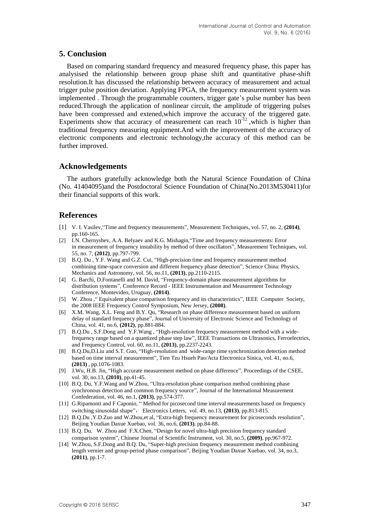## **5. Conclusion**

Based on comparing standard frequency and measured frequency phase, this paper has analysised the relationship between group phase shift and quantitative phase-shift resolution.It has discussed the relationship between accuracy of measurement and actual trigger pulse position deviation. Applying FPGA, the frequency measurement system was implemented . Through the programmable counters, trigger gate's pulse number has been reduced.Through the application of nonlinear circuit, the amplitude of triggering pulses have been compressed and extened,which improve the accuracy of the triggered gate. Experiments show that accuracy of measurement can reach  $10^{-12}$ , which is higher than traditional frequency measuring equipment.And with the improvement of the accuracy of electronic components and electronic technology,the accuracy of this method can be further improved.

### **Acknowledgements**

The authors gratefully acknowledge both the Natural Science Foundation of China (No. 41404095)and the Postdoctoral Science Foundation of China(No.2013M530411)for their financial supports of this work.

## **References**

- [1] V. I. [Vasilev,"](http://www.engineeringvillage.com/search/submit.url?CID=quickSearchCitationFormat&csrfSyncToken=&searchtype=Quick&searchWord1=%7bVasil%27ev%2C+V.I.%7d§ion1=AU&database=1&yearselect=yearrange&sort=yr)Time and frequency measurements", Measurement Techniques, vol. 57, no. 2, **(2014)**, pp.160-165.
- [2] I.N. [Chernyshev,](http://www.engineeringvillage.com/search/submit.url?CID=quickSearchCitationFormat&searchtype=Quick&searchWord1=%7bChernyshev%2C+I.N.%7d§ion1=AU&database=1&yearselect=yearrange&sort=yr) A.A. [Belyaev](http://www.engineeringvillage.com/search/submit.url?CID=quickSearchCitationFormat&searchtype=Quick&searchWord1=%7bBelyaev%2C+A.A.%7d§ion1=AU&database=1&yearselect=yearrange&sort=yr) and K.G. [Mishagin,](http://www.engineeringvillage.com/search/submit.url?CID=quickSearchCitationFormat&searchtype=Quick&searchWord1=%7bMishagin%2C+K.G.%7d§ion1=AU&database=1&yearselect=yearrange&sort=yr)"Time and frequency measurements: Error in measurement of frequency instability by method of three oscillators", Measurement Techniques, vol. 55, no. 7, **(2012)**, pp.797-799.
- [3] B.Q. [Du ,](http://www.engineeringvillage.com/search/submit.url?CID=quickSearchCitationFormat&csrfSyncToken=&searchtype=Quick&searchWord1=%7bDu%2C+Baoqiang%7d§ion1=AU&database=1&yearselect=yearrange&sort=yr) Y.F. [Wang](http://www.engineeringvillage.com/search/submit.url?CID=quickSearchCitationFormat&csrfSyncToken=&searchtype=Quick&searchWord1=%7bWang%2C+Yanfeng%7d§ion1=AU&database=1&yearselect=yearrange&sort=yr) and G.Z. [Cui,](http://www.engineeringvillage.com/search/submit.url?CID=quickSearchCitationFormat&csrfSyncToken=&searchtype=Quick&searchWord1=%7bCui%2C+Guangzhao%7d§ion1=AU&database=1&yearselect=yearrange&sort=yr) "High-precision time and frequency measurement method combining time-space conversion and different frequency phase detection", Science China: Physics, Mechanics and Astronomy, vol. 56, no.11, **(2013)**, pp.2110-2115.
- [4] G. [Barchi,](http://www.engineeringvillage.com/search/submit.url?CID=quickSearchCitationFormat&csrfSyncToken=&searchtype=Quick&searchWord1=%7bBarchi%2C+Grazia%7d§ion1=AU&database=1&yearselect=yearrange&sort=yr) D[.Fontanelli](http://www.engineeringvillage.com/search/submit.url?CID=quickSearchCitationFormat&csrfSyncToken=&searchtype=Quick&searchWord1=%7bFontanelli%2C+Daniele%7d§ion1=AU&database=1&yearselect=yearrange&sort=yr) and M. [David,](http://www.engineeringvillage.com/search/submit.url?CID=quickSearchCitationFormat&csrfSyncToken=&searchtype=Quick&searchWord1=%7bMacIi%2C+David%7d§ion1=AU&database=1&yearselect=yearrange&sort=yr) "Frequency-domain phase measurement algorithms for distribution systems", Conference Record - IEEE Instrumentation and Measurement Technology Conference, Montevideo, Uruguay, **(2014)**.
- [5] W. [Zhou ,"](http://www.engineeringvillage.com/search/submit.url?CID=quickSearchCitationFormat&csrfSyncToken=&searchtype=Quick&searchWord1=%7bZhou%2C+Wei%7d§ion1=AU&database=1&yearselect=yearrange&sort=yr) Equivalent phase comparison frequency and its characteristics", IEEE Computer Society, the 2008 IEEE Frequency Control Symposium, New Jersey, **(2008)**.
- [6] X.M. Wang, X.L. Feng and B.Y. Qu, "Research on phase difference measurement based on uniform delay of standard frequency phase", Journal of University of Electronic Science and Technology of China, vol. 41, no.6, **(2012)**, pp.881-884.
- [7] B.[Q.Du](http://www.engineeringvillage.com/search/submit.url?CID=quickSearchCitationFormat&searchtype=Quick&searchWord1=%7bDu%2C+Baoqiang%7d§ion1=AU&database=1&yearselect=yearrange&sort=yr) , S.F[.Dong a](http://www.engineeringvillage.com/search/submit.url?CID=quickSearchCitationFormat&searchtype=Quick&searchWord1=%7bDong%2C+Shaofeng%7d§ion1=AU&database=1&yearselect=yearrange&sort=yr)nd Y.[F.Wang ,](http://www.engineeringvillage.com/search/submit.url?CID=quickSearchCitationFormat&searchtype=Quick&searchWord1=%7bWang%2C+Yanfeng%7d§ion1=AU&database=1&yearselect=yearrange&sort=yr) "High-resolution frequency measurement method with a widefrequency range based on a quantized phase step law", IEEE Transactions on Ultrasonics, Ferroelectrics, and Frequency Control, vol. 60, no.11, **(2013)**, pp.2237-2243.
- [8] B.[Q.Du,](http://www.engineeringvillage.com/search/submit.url?CID=quickSearchCitationFormat&searchtype=Quick&searchWord1=%7bDu%2C+Bao-Qiang%7d§ion1=AU&database=1&yearselect=yearrange&sort=yr)[D.Liu a](http://www.engineeringvillage.com/search/submit.url?CID=quickSearchCitationFormat&searchtype=Quick&searchWord1=%7bLiu%2C+Dan%7d§ion1=AU&database=1&yearselect=yearrange&sort=yr)nd S.T. [Guo,](http://www.engineeringvillage.com/search/submit.url?CID=quickSearchCitationFormat&searchtype=Quick&searchWord1=%7bGuo%2C+Shu-Ting%7d§ion1=AU&database=1&yearselect=yearrange&sort=yr) "High-resolution and wide-range time synchronization detection method based on time interval measurement", Tien Tzu Hsueh Pao/Acta Electronica Sinica, vol. 41, no.6, **(2013)** , pp.1076-1083.
- [9] J.Wu, H.B. Jin, "High accurate measurement method on phase difference", Proceedings of the CSEE, vol. 30, no.13, **(2010)**, pp.41-45.
- [10] B.Q. Du, Y.F.Wang and W.Zhou, "Ultra-resolution phase comparison method combining phase synchronous detection and common frequency source", Journal of the International Measurement Confederation, vol. 46, no.1, **(2013)**, pp.574-377.
- [11] [G.Ripamonti a](http://www.engineeringvillage.com/search/submit.url?CID=quickSearchCitationFormat&searchtype=Quick&searchWord1=%7bRipamonti%2C+G.%7d§ion1=AU&database=1&yearselect=yearrange&sort=yr)nd F Caponio, " Method for picosecond time interval measurements based on frequency switching sinusoidal shape", Electronics Letters, vol. 49, no.13, **(2013)**, pp.813-815.
- [12] B.[Q.Du](http://www.engineeringvillage.com/search/submit.url?CID=quickSearchCitationFormat&searchtype=Quick&searchWord1=%7bDu%2C+Bao-Qiang%7d§ion1=AU&database=1&yearselect=yearrange&sort=yr) ,Y.[D.Zuo](http://www.engineeringvillage.com/search/submit.url?CID=quickSearchCitationFormat&searchtype=Quick&searchWord1=%7bZuo%2C+Yan-Di%7d§ion1=AU&database=1&yearselect=yearrange&sort=yr) and [W.Zhou,e](http://www.engineeringvillage.com/search/submit.url?CID=quickSearchCitationFormat&searchtype=Quick&searchWord1=%7bZhou%2C+Wei%7d§ion1=AU&database=1&yearselect=yearrange&sort=yr)t al, "Extra-high frequency measurement for picoseconds resolution", Beijing Youdian Daxue Xuebao, vol. 36, no.6, **(2013)**, pp.84-88.
- [13] B.Q. [Du](http://www.engineeringvillage.com/search/submit.url?CID=quickSearchCitationFormat&searchtype=Quick&searchWord1=%7bDu%2C+Baoqiang%7d§ion1=AU&database=1&yearselect=yearrange&sort=yr), W. [Zhou](http://www.engineeringvillage.com/search/submit.url?CID=quickSearchCitationFormat&searchtype=Quick&searchWord1=%7bZhou%2C+Wei%7d§ion1=AU&database=1&yearselect=yearrange&sort=yr) and F.[X.Chen,](http://www.engineeringvillage.com/search/submit.url?CID=quickSearchCitationFormat&searchtype=Quick&searchWord1=%7bChen%2C+Faxi%7d§ion1=AU&database=1&yearselect=yearrange&sort=yr) "Design for novel ultra-high precision frequency standard comparison system", Chinese Journal of Scientific Instrument, vol. 30, no.5, **(2009)**, pp.967-972.
- [14] [W.Zhou,](http://www.engineeringvillage.com/search/submit.url?CID=quickSearchCitationFormat&csrfSyncToken=&searchtype=Quick&searchWord1=%7bZhou%2C+Wei%7d§ion1=AU&database=1&yearselect=yearrange&sort=yr) S.[F.Dong](http://www.engineeringvillage.com/search/submit.url?CID=quickSearchCitationFormat&csrfSyncToken=&searchtype=Quick&searchWord1=%7bDong%2C+Shao-Feng%7d§ion1=AU&database=1&yearselect=yearrange&sort=yr) and B.Q. [Du,](http://www.engineeringvillage.com/search/submit.url?CID=quickSearchCitationFormat&csrfSyncToken=&searchtype=Quick&searchWord1=%7bDu%2C+Bao-Qiang%7d§ion1=AU&database=1&yearselect=yearrange&sort=yr) "Super-high precision frequency measurement method combining length vernier and group-period phase comparison", Beijing Youdian Daxue Xuebao, vol. 34, no.3, **(2011)**, pp.1-7.